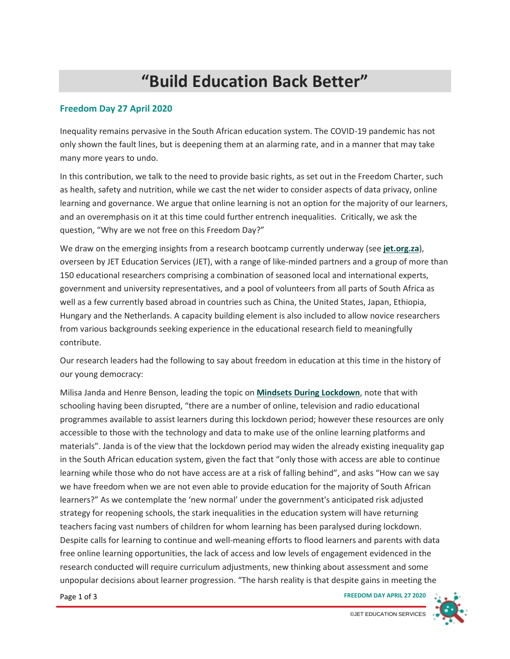## **"Build Education Back Better"**

## **Freedom Day 27 April 2020**

Inequality remains pervasive in the South African education system. The COVID-19 pandemic has not only shown the fault lines, but is deepening them at an alarming rate, and in a manner that may take many more years to undo.

In this contribution, we talk to the need to provide basic rights, as set out in the Freedom Charter, such as health, safety and nutrition, while we cast the net wider to consider aspects of data privacy, online learning and governance. We argue that online learning is not an option for the majority of our learners, and an overemphasis on it at this time could further entrench inequalities. Critically, we ask the question, "Why are we not free on this Freedom Day?"

We draw on the emerging insights from a research bootcamp currently underway (see **[jet.org.za](https://www.jet.org.za/)**), overseen by JET Education Services (JET), with a range of like-minded partners and a group of more than 150 educational researchers comprising a combination of seasoned local and international experts, government and university representatives, and a pool of volunteers from all parts of South Africa as well as a few currently based abroad in countries such as China, the United States, Japan, Ethiopia, Hungary and the Netherlands. A capacity building element is also included to allow novice researchers from various backgrounds seeking experience in the educational research field to meaningfully contribute.

Our research leaders had the following to say about freedom in education at this time in the history of our young democracy:

Milisa Janda and Henre Benson, leading the topic on **[Mindsets During Lockdown](https://www.jet.org.za/research-bootcamp/theme-5)**, note that with schooling having been disrupted, "there are a number of online, television and radio educational programmes available to assist learners during this lockdown period; however these resources are only accessible to those with the technology and data to make use of the online learning platforms and materials". Janda is of the view that the lockdown period may widen the already existing inequality gap in the South African education system, given the fact that "only those with access are able to continue learning while those who do not have access are at a risk of falling behind", and asks "How can we say we have freedom when we are not even able to provide education for the majority of South African learners?" As we contemplate the 'new normal' under the government's anticipated risk adjusted strategy for reopening schools, the stark inequalities in the education system will have returning teachers facing vast numbers of children for whom learning has been paralysed during lockdown. Despite calls for learning to continue and well-meaning efforts to flood learners and parents with data free online learning opportunities, the lack of access and low levels of engagement evidenced in the research conducted will require curriculum adjustments, new thinking about assessment and some unpopular decisions about learner progression. "The harsh reality is that despite gains in meeting the

Page 1 of 3 **FREEDOM DAY APRIL 27 2020**

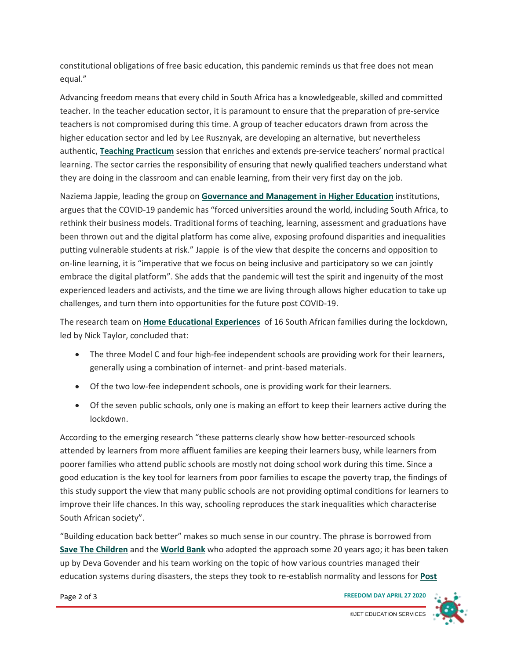constitutional obligations of free basic education, this pandemic reminds us that free does not mean equal."

Advancing freedom means that every child in South Africa has a knowledgeable, skilled and committed teacher. In the teacher education sector, it is paramount to ensure that the preparation of pre-service teachers is not compromised during this time. A group of teacher educators drawn from across the higher education sector and led by Lee Rusznyak, are developing an alternative, but nevertheless authentic, **[Teaching Practicum](https://www.jet.org.za/research-bootcamp/theme-11)** session that enriches and extends pre-service teachers' normal practical learning. The sector carries the responsibility of ensuring that newly qualified teachers understand what they are doing in the classroom and can enable learning, from their very first day on the job.

Naziema Jappie, leading the group on **[Governance and Management in Higher Education](https://www.jet.org.za/research-bootcamp/theme-8)** institutions, argues that the COVID-19 pandemic has "forced universities around the world, including South Africa, to rethink their business models. Traditional forms of teaching, learning, assessment and graduations have been thrown out and the digital platform has come alive, exposing profound disparities and inequalities putting vulnerable students at risk." Jappie is of the view that despite the concerns and opposition to on-line learning, it is "imperative that we focus on being inclusive and participatory so we can jointly embrace the digital platform". She adds that the pandemic will test the spirit and ingenuity of the most experienced leaders and activists, and the time we are living through allows higher education to take up challenges, and turn them into opportunities for the future post COVID-19.

The research team on **[Home Educational Experiences](https://www.jet.org.za/research-bootcamp/theme-1)** of 16 South African families during the lockdown, led by Nick Taylor, concluded that:

- The three Model C and four high-fee independent schools are providing work for their learners, generally using a combination of internet- and print-based materials.
- Of the two low-fee independent schools, one is providing work for their learners.
- Of the seven public schools, only one is making an effort to keep their learners active during the lockdown.

According to the emerging research "these patterns clearly show how better-resourced schools attended by learners from more affluent families are keeping their learners busy, while learners from poorer families who attend public schools are mostly not doing school work during this time. Since a good education is the key tool for learners from poor families to escape the poverty trap, the findings of this study support the view that many public schools are not providing optimal conditions for learners to improve their life chances. In this way, schooling reproduces the stark inequalities which characterise South African society".

"Building education back better" makes so much sense in our country. The phrase is borrowed from **[Save The Children](https://www.savethechildren.org/)** and the **[World Bank](https://www.worldbank.org/)** who adopted the approach some 20 years ago; it has been taken up by Deva Govender and his team working on the topic of how various countries managed their education systems during disasters, the steps they took to re-establish normality and lessons for **[Post](https://www.jet.org.za/research-bootcamp/theme-10)** 

Page 2 of 3 **FREEDOM DAY APRIL 27 2020**